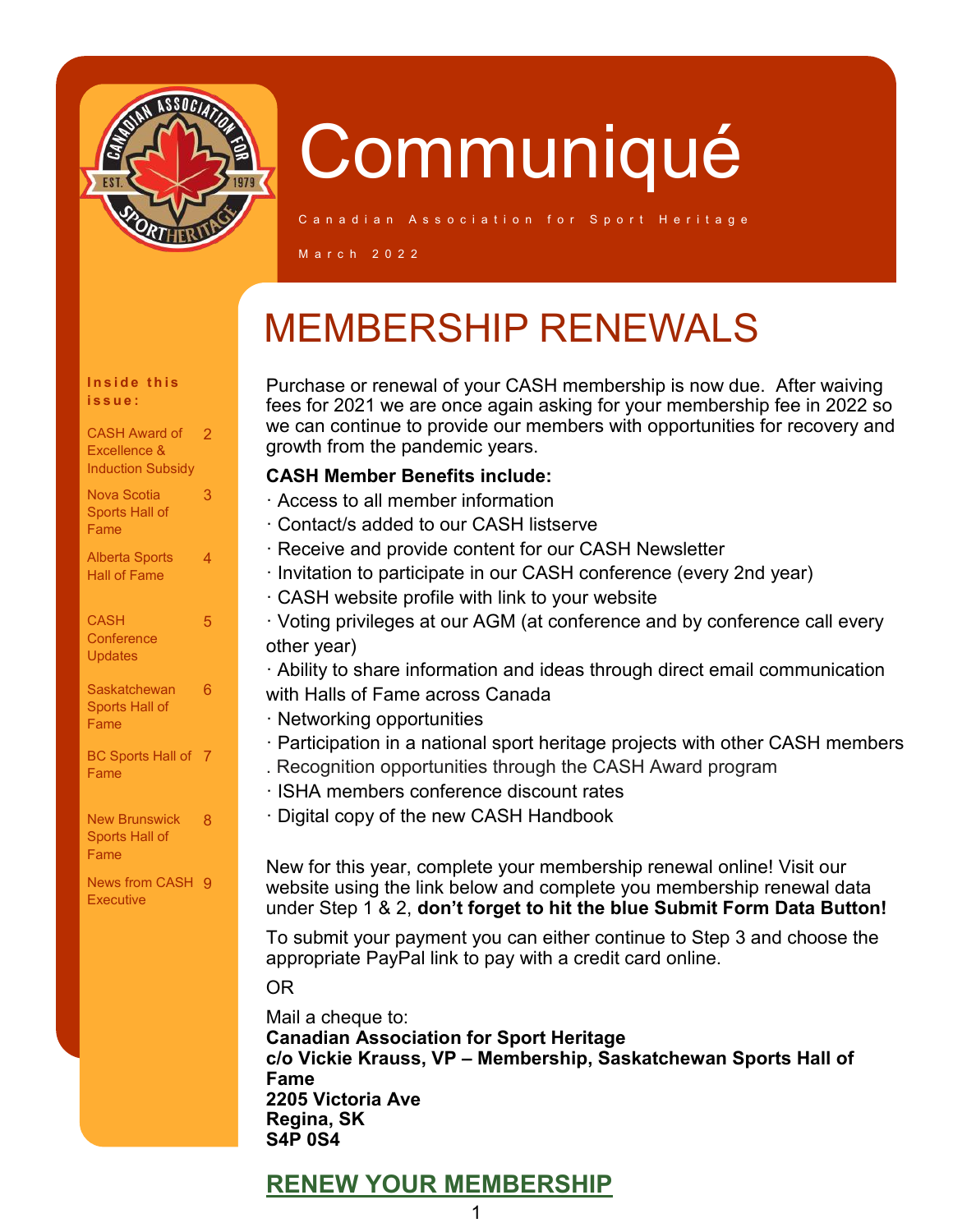

Inside this **i s s u e :**

Alberta Sports Hall of Fame

**Saskatchewan** Sports Hall of Fame

BC Sports Hall of 7

New Brunswick 8 Sports Hall of Fame

News from CASH 9

**Executive** 

**CASH Conference Updates** 

Fame

CASH Award of 2 Excellence & **Induction Subsidy** Nova Scotia Sports Hall of Fame

3

4

5

6

# **Communiqué**

C a n a d i a n  $\,$  A s s o c i a t i o n f o r  $\,$  S p o r t  $\,$  H e r i t a g e

M a r c h 2 0 2 2

## MEMBERSHIP RENEWALS

Purchase or renewal of your CASH membership is now due. After waiving fees for 2021 we are once again asking for your membership fee in 2022 so we can continue to provide our members with opportunities for recovery and growth from the pandemic years.

#### **CASH Member Benefits include:**

- · Access to all member information
- · Contact/s added to our CASH listserve
- · Receive and provide content for our CASH Newsletter
- · Invitation to participate in our CASH conference (every 2nd year)
- · CASH website profile with link to your website
- · Voting privileges at our AGM (at conference and by conference call every other year)

· Ability to share information and ideas through direct email communication with Halls of Fame across Canada

- · Networking opportunities
- · Participation in a national sport heritage projects with other CASH members . Recognition opportunities through the CASH Award program
- · ISHA members conference discount rates
- · Digital copy of the new CASH Handbook

New for this year, complete your membership renewal online! Visit our website using the link below and complete you membership renewal data under Step 1 & 2, **don't forget to hit the blue Submit Form Data Button!**

To submit your payment you can either continue to Step 3 and choose the appropriate PayPal link to pay with a credit card online.

#### OR

Mail a cheque to: **Canadian Association for Sport Heritage c/o Vickie Krauss, VP – Membership, Saskatchewan Sports Hall of Fame 2205 Victoria Ave Regina, SK S4P 0S4**

### **[RENEW YOUR MEMBERSHIP](https://www.canadiansportheritage.com/join-renew)**

#### 1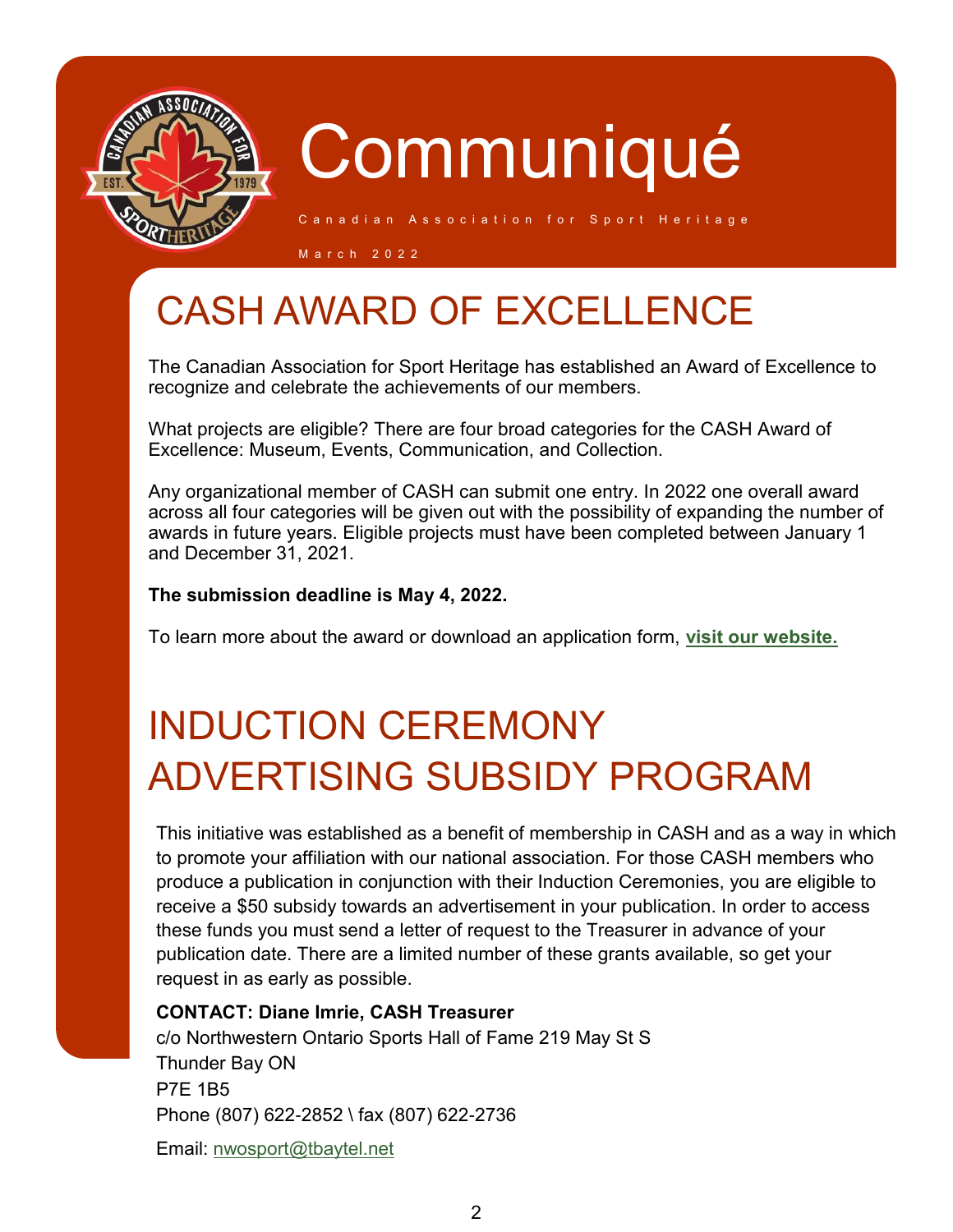

Canadian Association for Sport Heritage

M a r c h 2 0 2 2

### CASH AWARD OF EXCELLENCE

The Canadian Association for Sport Heritage has established an Award of Excellence to recognize and celebrate the achievements of our members.

What projects are eligible? There are four broad categories for the CASH Award of Excellence: Museum, Events, Communication, and Collection.

Any organizational member of CASH can submit one entry. In 2022 one overall award across all four categories will be given out with the possibility of expanding the number of awards in future years. Eligible projects must have been completed between January 1 and December 31, 2021.

### **The submission deadline is May 4, 2022.**

To learn more about the award or download an application form, **[visit our website.](https://www.canadiansportheritage.com/award-of-excellence)**

## INDUCTION CEREMONY ADVERTISING SUBSIDY PROGRAM

This initiative was established as a benefit of membership in CASH and as a way in which to promote your affiliation with our national association. For those CASH members who produce a publication in conjunction with their Induction Ceremonies, you are eligible to receive a \$50 subsidy towards an advertisement in your publication. In order to access these funds you must send a letter of request to the Treasurer in advance of your publication date. There are a limited number of these grants available, so get your request in as early as possible.

### **CONTACT: Diane Imrie, CASH Treasurer**

c/o Northwestern Ontario Sports Hall of Fame 219 May St S Thunder Bay ON P7E 1B5 Phone (807) 622-2852 \ fax (807) 622-2736

Email: [nwosport@tbaytel.net](mailto:nwosport@tbaytel.net)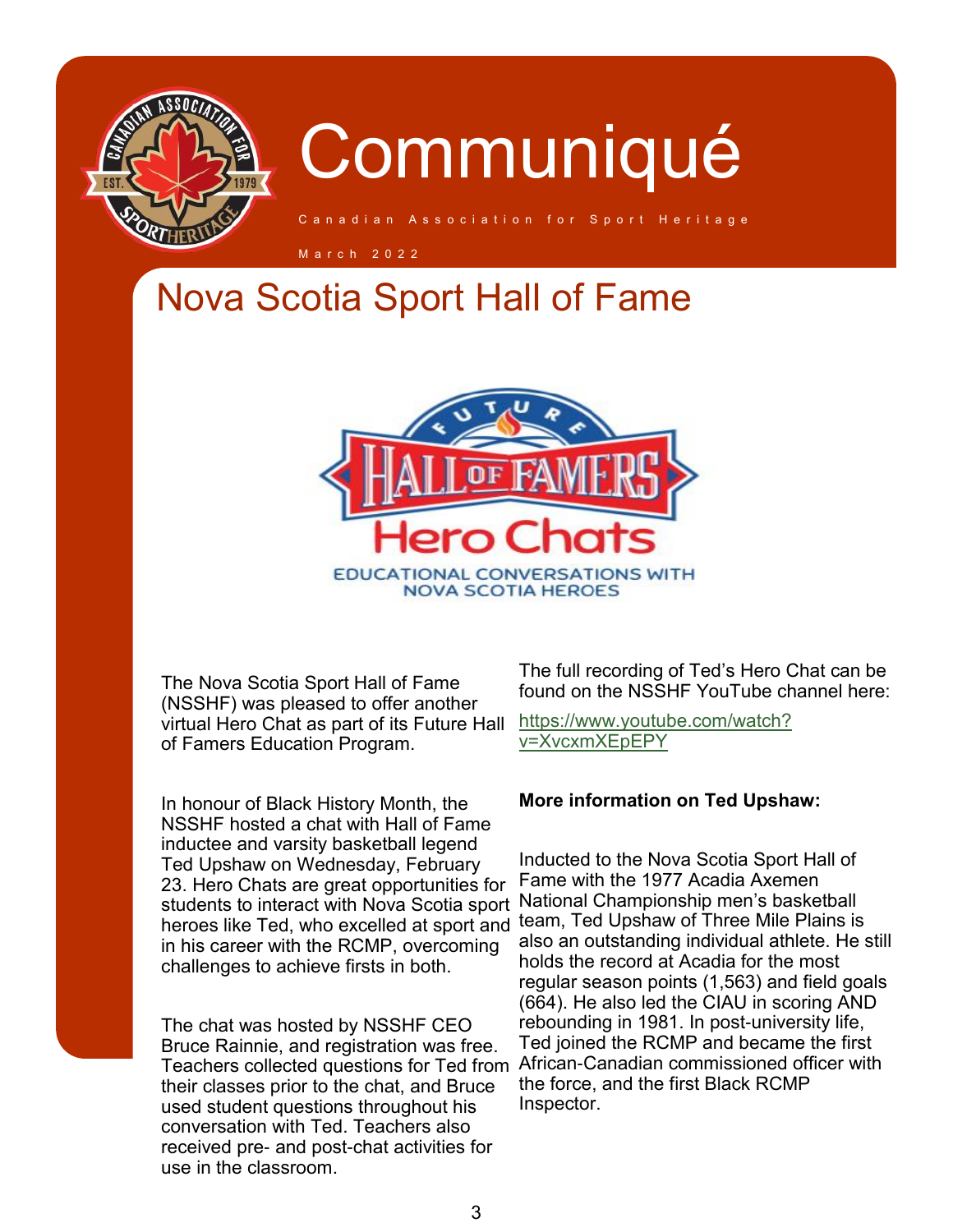

iation for Sport Heritage

M a r c h 2 0 2 2

### Nova Scotia Sport Hall of Fame



The Nova Scotia Sport Hall of Fame (NSSHF) was pleased to offer another virtual Hero Chat as part of its Future Hall of Famers Education Program.

In honour of Black History Month, the NSSHF hosted a chat with Hall of Fame inductee and varsity basketball legend Ted Upshaw on Wednesday, February 23. Hero Chats are great opportunities for students to interact with Nova Scotia sport heroes like Ted, who excelled at sport and in his career with the RCMP, overcoming challenges to achieve firsts in both.

The chat was hosted by NSSHF CEO Bruce Rainnie, and registration was free. Teachers collected questions for Ted from their classes prior to the chat, and Bruce used student questions throughout his conversation with Ted. Teachers also received pre- and post-chat activities for use in the classroom.

The full recording of Ted's Hero Chat can be found on the NSSHF YouTube channel here:

[https://www.youtube.com/watch?](https://www.youtube.com/watch?v=XvcxmXEpEPY) [v=XvcxmXEpEPY](https://www.youtube.com/watch?v=XvcxmXEpEPY)

#### **More information on Ted Upshaw:**

Inducted to the Nova Scotia Sport Hall of Fame with the 1977 Acadia Axemen National Championship men's basketball team, Ted Upshaw of Three Mile Plains is also an outstanding individual athlete. He still holds the record at Acadia for the most regular season points (1,563) and field goals (664). He also led the CIAU in scoring AND rebounding in 1981. In post-university life, Ted joined the RCMP and became the first African-Canadian commissioned officer with the force, and the first Black RCMP Inspector.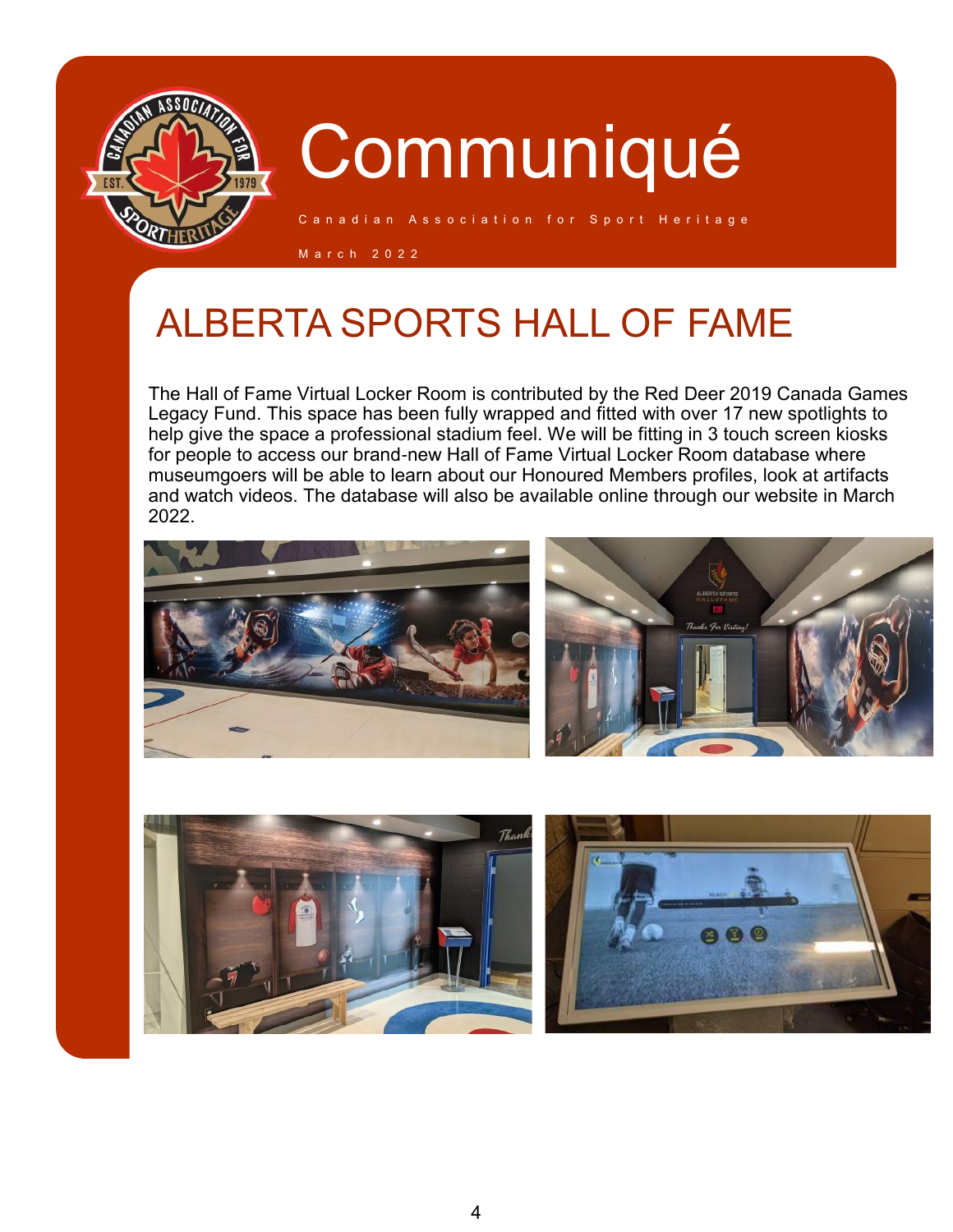

C a n a d i a n Association for Sport Heritage

M a r c h 2 0 2 2

### ALBERTA SPORTS HALL OF FAME

The Hall of Fame Virtual Locker Room is contributed by the Red Deer 2019 Canada Games Legacy Fund. This space has been fully wrapped and fitted with over 17 new spotlights to help give the space a professional stadium feel. We will be fitting in 3 touch screen kiosks for people to access our brand-new Hall of Fame Virtual Locker Room database where museumgoers will be able to learn about our Honoured Members profiles, look at artifacts and watch videos. The database will also be available online through our website in March 2022.





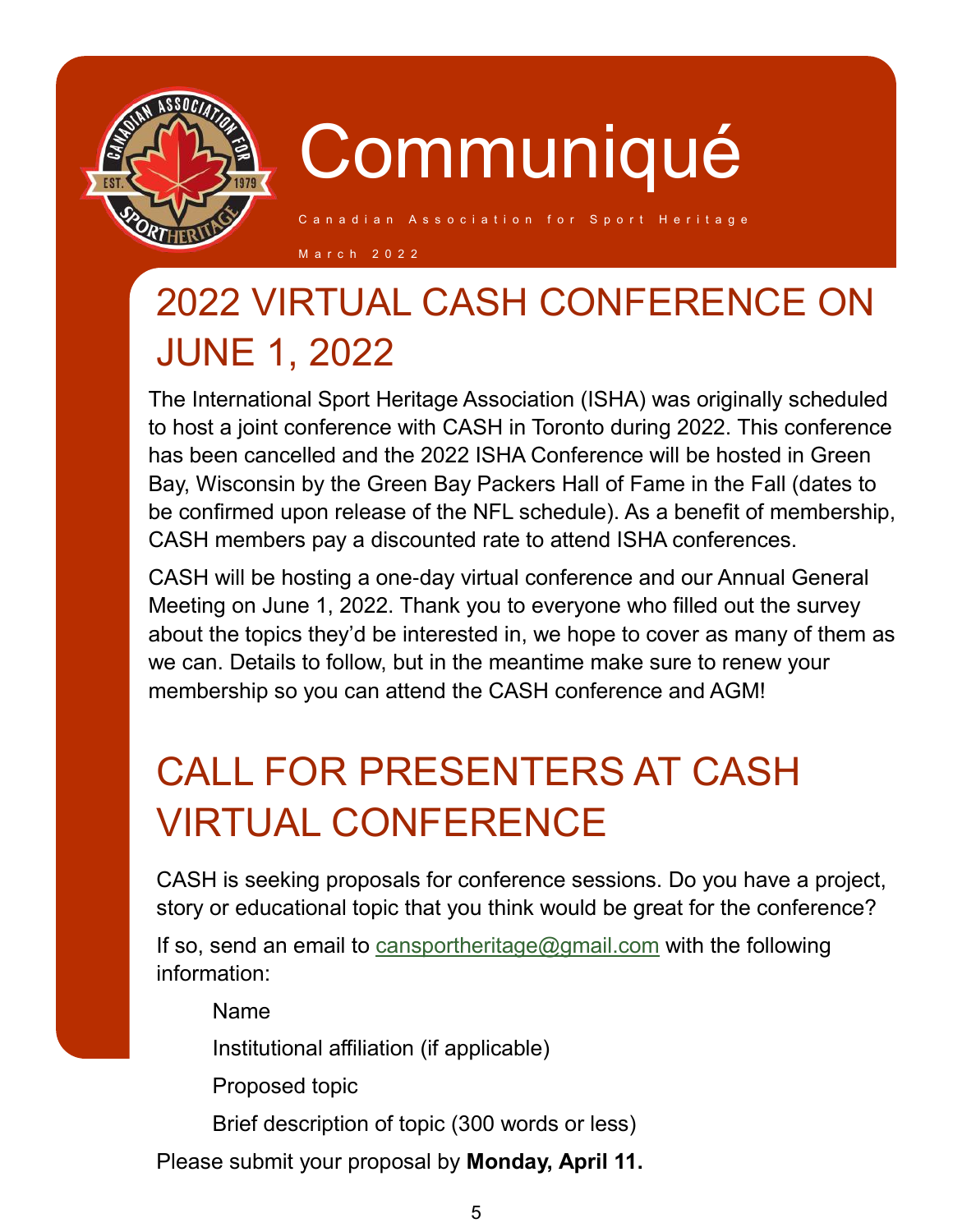

s s o c i a t i o n f o r S p o r t H e r i t a g e

M a r c h 2 0 2 2

## 2022 VIRTUAL CASH CONFERENCE ON JUNE 1, 2022

The International Sport Heritage Association (ISHA) was originally scheduled to host a joint conference with CASH in Toronto during 2022. This conference has been cancelled and the 2022 ISHA Conference will be hosted in Green Bay, Wisconsin by the Green Bay Packers Hall of Fame in the Fall (dates to be confirmed upon release of the NFL schedule). As a benefit of membership, CASH members pay a discounted rate to attend ISHA conferences.

CASH will be hosting a one-day virtual conference and our Annual General Meeting on June 1, 2022. Thank you to everyone who filled out the survey about the topics they'd be interested in, we hope to cover as many of them as we can. Details to follow, but in the meantime make sure to renew your membership so you can attend the CASH conference and AGM!

## CALL FOR PRESENTERS AT CASH VIRTUAL CONFERENCE

CASH is seeking proposals for conference sessions. Do you have a project, story or educational topic that you think would be great for the conference?

If so, send an email to [cansportheritage@gmail.com](mailto:cansportheritage@gmail.com?subject=CASH%20Virtual%20Conference%20Proposal) with the following information:

Name

Institutional affiliation (if applicable)

Proposed topic

Brief description of topic (300 words or less)

Please submit your proposal by **Monday, April 11.**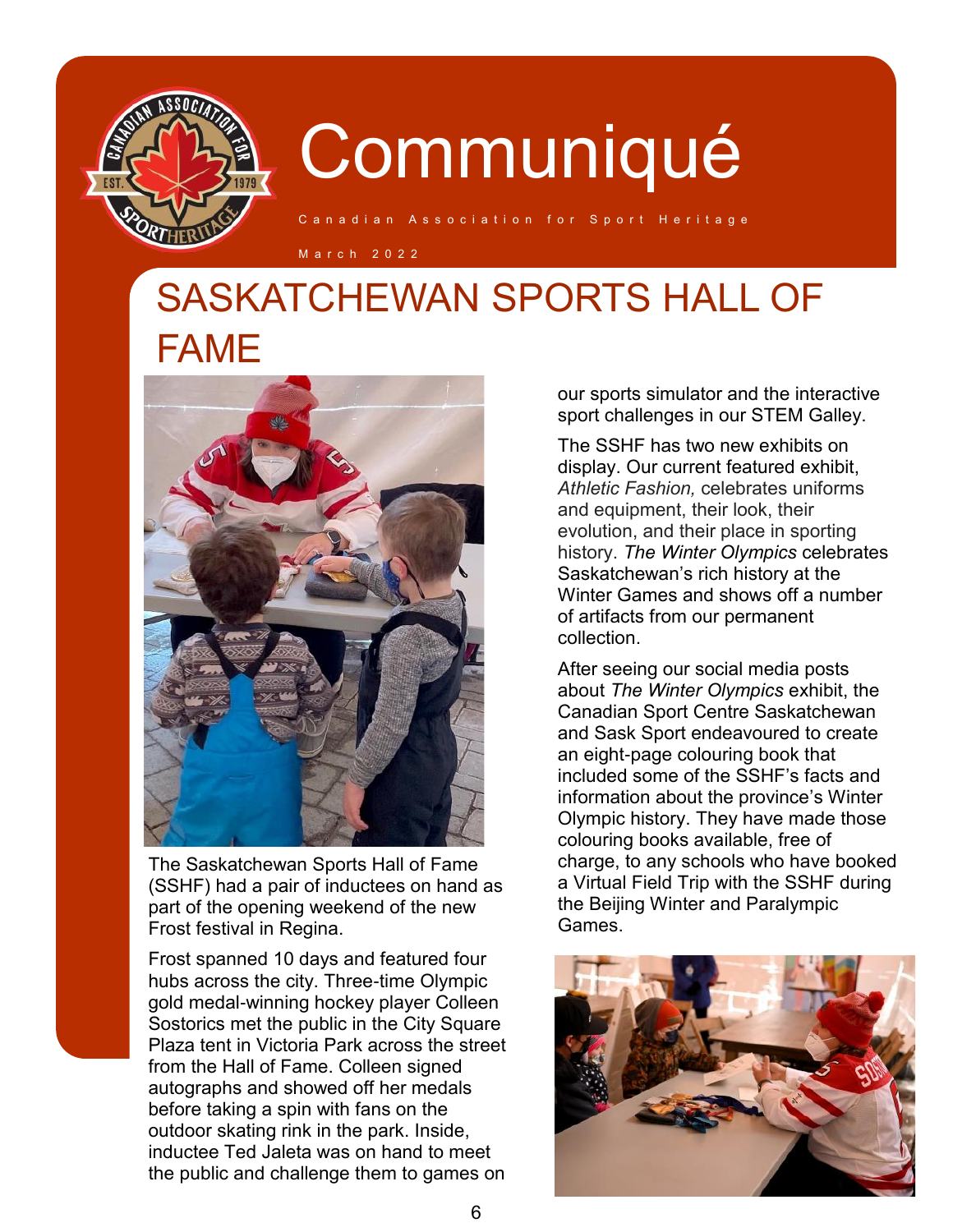

iation for Sport Heritage

M a r c h 2 0 2 2

### SASKATCHEWAN SPORTS HALL OF FAME



The Saskatchewan Sports Hall of Fame (SSHF) had a pair of inductees on hand as part of the opening weekend of the new Frost festival in Regina.

Frost spanned 10 days and featured four hubs across the city. Three-time Olympic gold medal-winning hockey player Colleen Sostorics met the public in the City Square Plaza tent in Victoria Park across the street from the Hall of Fame. Colleen signed autographs and showed off her medals before taking a spin with fans on the outdoor skating rink in the park. Inside, inductee Ted Jaleta was on hand to meet the public and challenge them to games on our sports simulator and the interactive sport challenges in our STEM Galley.

The SSHF has two new exhibits on display. Our current featured exhibit, *Athletic Fashion,* celebrates uniforms and equipment, their look, their evolution, and their place in sporting history. *The Winter Olympics* celebrates Saskatchewan's rich history at the Winter Games and shows off a number of artifacts from our permanent collection.

After seeing our social media posts about *The Winter Olympics* exhibit, the Canadian Sport Centre Saskatchewan and Sask Sport endeavoured to create an eight-page colouring book that included some of the SSHF's facts and information about the province's Winter Olympic history. They have made those colouring books available, free of charge, to any schools who have booked a Virtual Field Trip with the SSHF during the Beijing Winter and Paralympic Games.

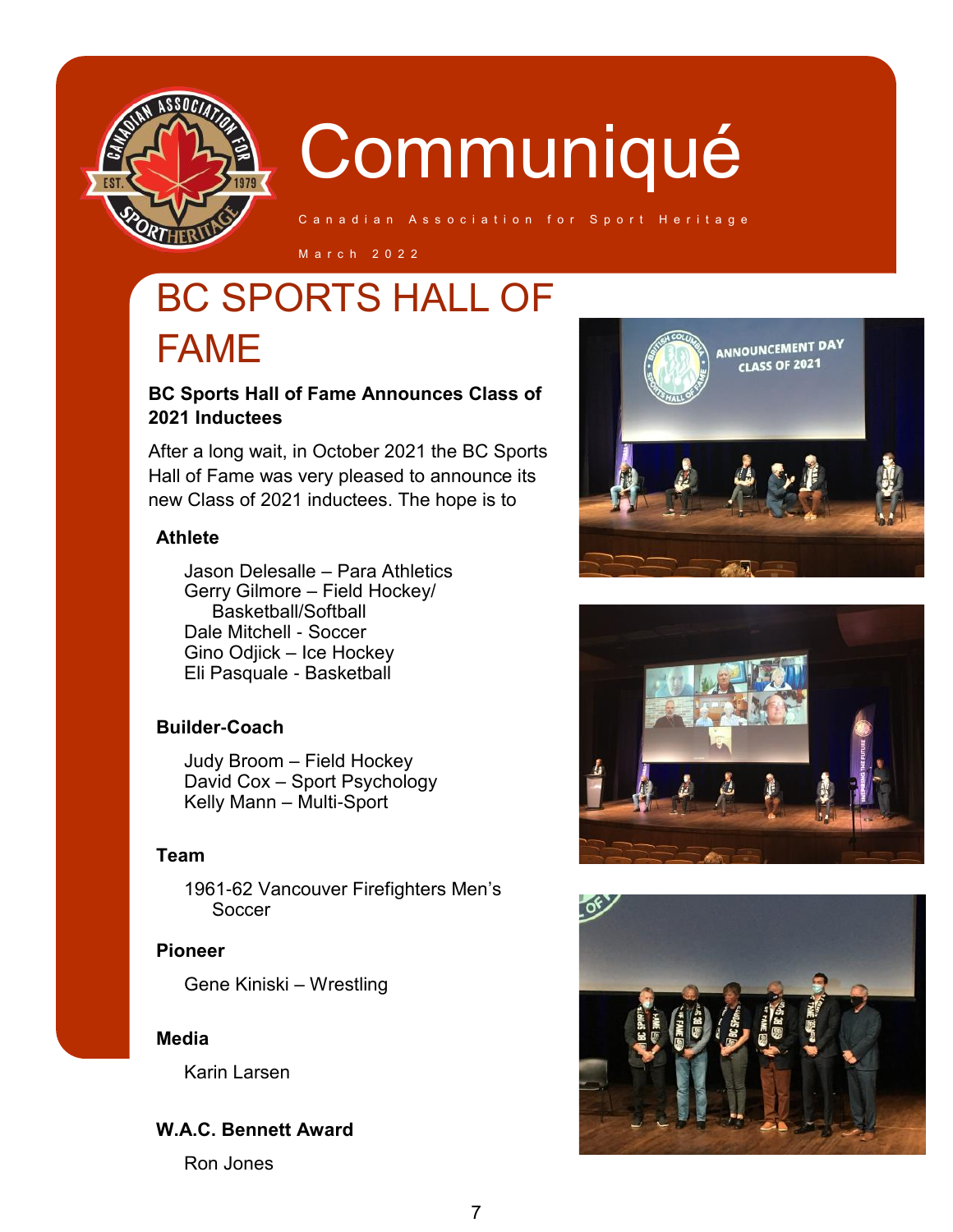

C a n a d i a n Association for Sport Heritage

M a r c h 2 0 2 2

### BC SPORTS HALL OF FAME

### **BC Sports Hall of Fame Announces Class of 2021 Inductees**

After a long wait, in October 2021 the BC Sports Hall of Fame was very pleased to announce its new Class of 2021 inductees. The hope is to

#### **Athlete**

Jason Delesalle – Para Athletics Gerry Gilmore – Field Hockey/ Basketball/Softball Dale Mitchell - Soccer Gino Odjick – Ice Hockey Eli Pasquale - Basketball

### **Builder-Coach**

Judy Broom – Field Hockey David Cox – Sport Psychology Kelly Mann – Multi-Sport

#### **Team**

1961-62 Vancouver Firefighters Men's **Soccer** 

#### **Pioneer**

Gene Kiniski – Wrestling

### **Media**

Karin Larsen

### **W.A.C. Bennett Award**

Ron Jones





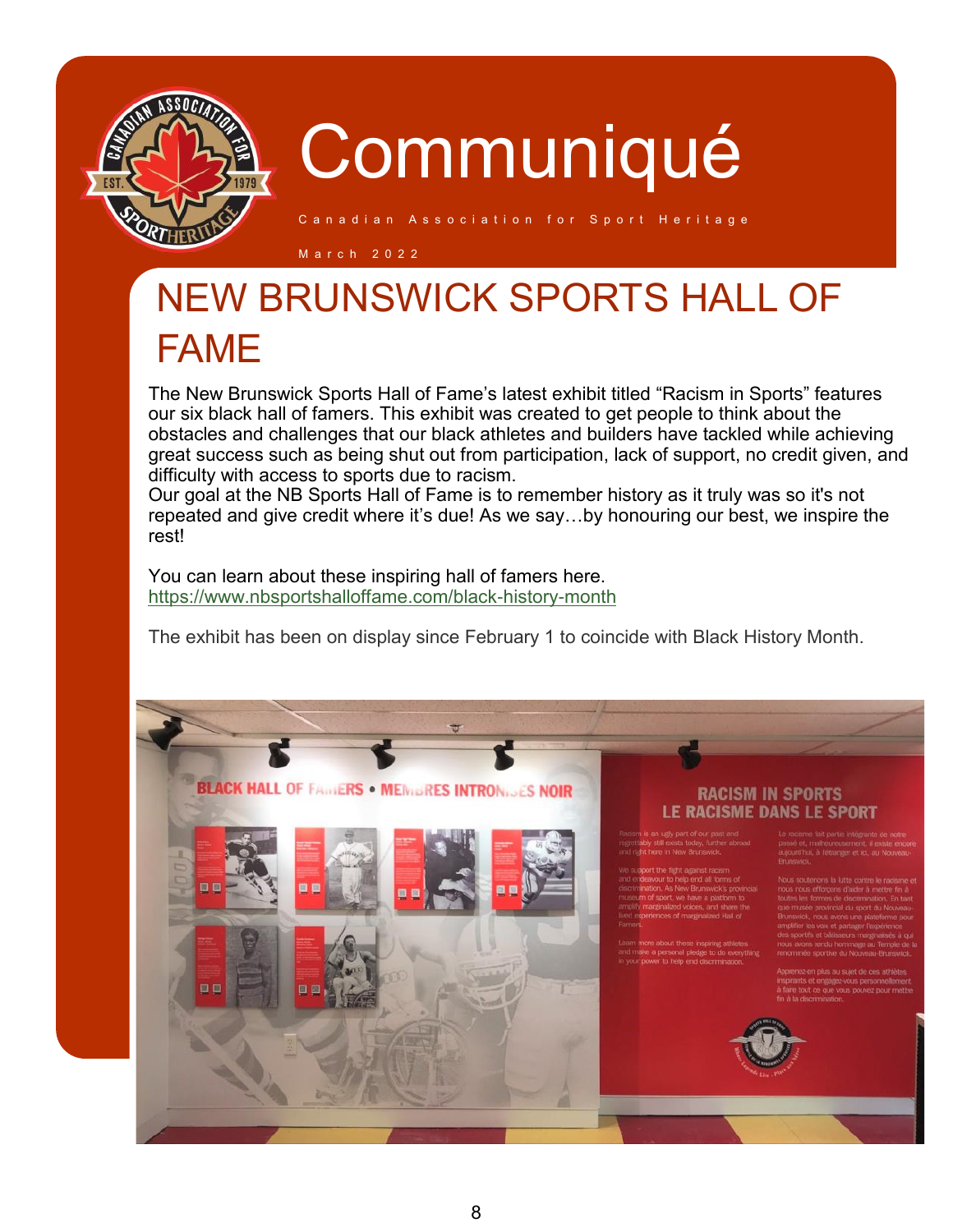

C a n a dian Association for Sport Heritage

M a r c h 2 0 2 2

### NEW BRUNSWICK SPORTS HALL OF FAME

The New Brunswick Sports Hall of Fame's latest exhibit titled "Racism in Sports" features our six black hall of famers. This exhibit was created to get people to think about the obstacles and challenges that our black athletes and builders have tackled while achieving great success such as being shut out from participation, lack of support, no credit given, and difficulty with access to sports due to racism.

Our goal at the NB Sports Hall of Fame is to remember history as it truly was so it's not repeated and give credit where it's due! As we say…by honouring our best, we inspire the rest!

You can learn about these inspiring hall of famers here. <https://www.nbsportshalloffame.com/black-history-month>

**SLACK HALL OF FAMERS . MEINDRES INTRONIJES NOIR** 

The exhibit has been on display since February 1 to coincide with Black History Month.

#### **RACISM IN SPORTS** Le racisme dans le sport